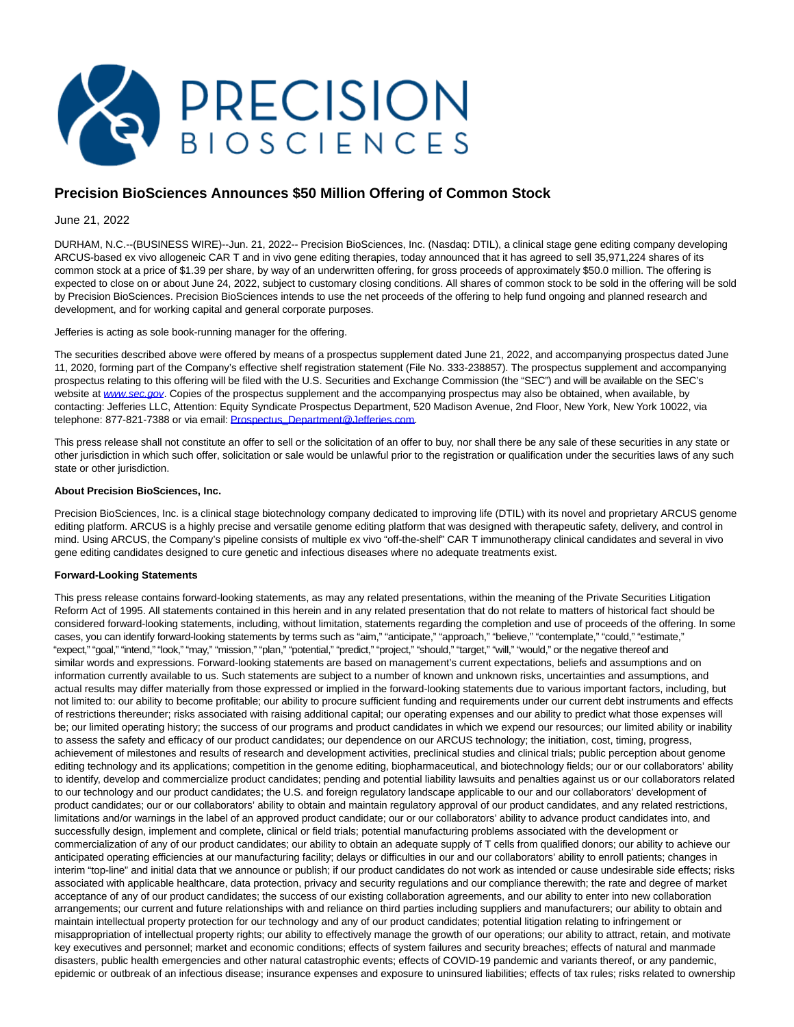

# **Precision BioSciences Announces \$50 Million Offering of Common Stock**

# June 21, 2022

DURHAM, N.C.--(BUSINESS WIRE)--Jun. 21, 2022-- Precision BioSciences, Inc. (Nasdaq: DTIL), a clinical stage gene editing company developing ARCUS-based ex vivo allogeneic CAR T and in vivo gene editing therapies, today announced that it has agreed to sell 35,971,224 shares of its common stock at a price of \$1.39 per share, by way of an underwritten offering, for gross proceeds of approximately \$50.0 million. The offering is expected to close on or about June 24, 2022, subject to customary closing conditions. All shares of common stock to be sold in the offering will be sold by Precision BioSciences. Precision BioSciences intends to use the net proceeds of the offering to help fund ongoing and planned research and development, and for working capital and general corporate purposes.

#### Jefferies is acting as sole book-running manager for the offering.

The securities described above were offered by means of a prospectus supplement dated June 21, 2022, and accompanying prospectus dated June 11, 2020, forming part of the Company's effective shelf registration statement (File No. 333-238857). The prospectus supplement and accompanying prospectus relating to this offering will be filed with the U.S. Securities and Exchange Commission (the "SEC") and will be available on the SEC's website at [www.sec.gov](https://cts.businesswire.com/ct/CT?id=smartlink&url=http%3A%2F%2Fwww.sec.gov&esheet=52757639&newsitemid=20220621006078&lan=en-US&anchor=www.sec.gov&index=1&md5=1e371f2fa4acc3ea2388723eb6e60be8). Copies of the prospectus supplement and the accompanying prospectus may also be obtained, when available, by contacting: Jefferies LLC, Attention: Equity Syndicate Prospectus Department, 520 Madison Avenue, 2nd Floor, New York, New York 10022, via telephone: 877-821-7388 or via email: [Prospectus\\_Department@Jefferies.com.](mailto:Prospectus_Department@Jefferies.com)

This press release shall not constitute an offer to sell or the solicitation of an offer to buy, nor shall there be any sale of these securities in any state or other jurisdiction in which such offer, solicitation or sale would be unlawful prior to the registration or qualification under the securities laws of any such state or other jurisdiction.

### **About Precision BioSciences, Inc.**

Precision BioSciences, Inc. is a clinical stage biotechnology company dedicated to improving life (DTIL) with its novel and proprietary ARCUS genome editing platform. ARCUS is a highly precise and versatile genome editing platform that was designed with therapeutic safety, delivery, and control in mind. Using ARCUS, the Company's pipeline consists of multiple ex vivo "off-the-shelf" CAR T immunotherapy clinical candidates and several in vivo gene editing candidates designed to cure genetic and infectious diseases where no adequate treatments exist.

## **Forward-Looking Statements**

This press release contains forward-looking statements, as may any related presentations, within the meaning of the Private Securities Litigation Reform Act of 1995. All statements contained in this herein and in any related presentation that do not relate to matters of historical fact should be considered forward-looking statements, including, without limitation, statements regarding the completion and use of proceeds of the offering. In some cases, you can identify forward-looking statements by terms such as "aim," "anticipate," "approach," "believe," "contemplate," "could," "estimate," "expect," "goal," "intend," "look," "may," "mission," "plan," "potential," "predict," "project," "should," "target," "will," "would," or the negative thereof and similar words and expressions. Forward-looking statements are based on management's current expectations, beliefs and assumptions and on information currently available to us. Such statements are subject to a number of known and unknown risks, uncertainties and assumptions, and actual results may differ materially from those expressed or implied in the forward-looking statements due to various important factors, including, but not limited to: our ability to become profitable; our ability to procure sufficient funding and requirements under our current debt instruments and effects of restrictions thereunder; risks associated with raising additional capital; our operating expenses and our ability to predict what those expenses will be; our limited operating history; the success of our programs and product candidates in which we expend our resources; our limited ability or inability to assess the safety and efficacy of our product candidates; our dependence on our ARCUS technology; the initiation, cost, timing, progress, achievement of milestones and results of research and development activities, preclinical studies and clinical trials; public perception about genome editing technology and its applications; competition in the genome editing, biopharmaceutical, and biotechnology fields; our or our collaborators' ability to identify, develop and commercialize product candidates; pending and potential liability lawsuits and penalties against us or our collaborators related to our technology and our product candidates; the U.S. and foreign regulatory landscape applicable to our and our collaborators' development of product candidates; our or our collaborators' ability to obtain and maintain regulatory approval of our product candidates, and any related restrictions, limitations and/or warnings in the label of an approved product candidate; our or our collaborators' ability to advance product candidates into, and successfully design, implement and complete, clinical or field trials; potential manufacturing problems associated with the development or commercialization of any of our product candidates; our ability to obtain an adequate supply of T cells from qualified donors; our ability to achieve our anticipated operating efficiencies at our manufacturing facility; delays or difficulties in our and our collaborators' ability to enroll patients; changes in interim "top-line" and initial data that we announce or publish; if our product candidates do not work as intended or cause undesirable side effects; risks associated with applicable healthcare, data protection, privacy and security regulations and our compliance therewith; the rate and degree of market acceptance of any of our product candidates; the success of our existing collaboration agreements, and our ability to enter into new collaboration arrangements; our current and future relationships with and reliance on third parties including suppliers and manufacturers; our ability to obtain and maintain intellectual property protection for our technology and any of our product candidates; potential litigation relating to infringement or misappropriation of intellectual property rights; our ability to effectively manage the growth of our operations; our ability to attract, retain, and motivate key executives and personnel; market and economic conditions; effects of system failures and security breaches; effects of natural and manmade disasters, public health emergencies and other natural catastrophic events; effects of COVID-19 pandemic and variants thereof, or any pandemic, epidemic or outbreak of an infectious disease; insurance expenses and exposure to uninsured liabilities; effects of tax rules; risks related to ownership